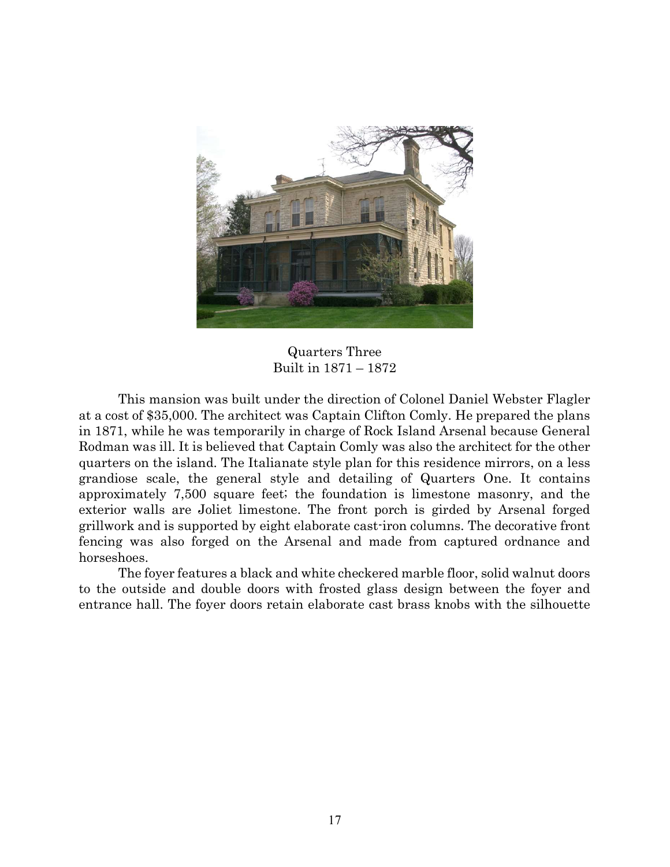

Quarters Three Built in 1871 – 1872

 This mansion was built under the direction of Colonel Daniel Webster Flagler at a cost of \$35,000. The architect was Captain Clifton Comly. He prepared the plans in 1871, while he was temporarily in charge of Rock Island Arsenal because General Rodman was ill. It is believed that Captain Comly was also the architect for the other quarters on the island. The Italianate style plan for this residence mirrors, on a less grandiose scale, the general style and detailing of Quarters One. It contains approximately 7,500 square feet; the foundation is limestone masonry, and the exterior walls are Joliet limestone. The front porch is girded by Arsenal forged grillwork and is supported by eight elaborate cast-iron columns. The decorative front fencing was also forged on the Arsenal and made from captured ordnance and horseshoes.

 The foyer features a black and white checkered marble floor, solid walnut doors to the outside and double doors with frosted glass design between the foyer and entrance hall. The foyer doors retain elaborate cast brass knobs with the silhouette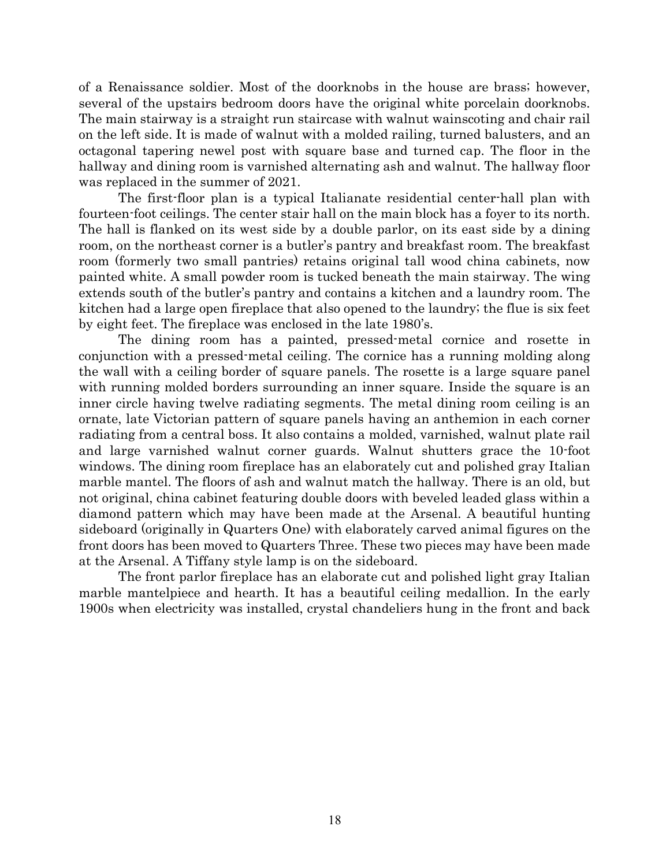of a Renaissance soldier. Most of the doorknobs in the house are brass; however, several of the upstairs bedroom doors have the original white porcelain doorknobs. The main stairway is a straight run staircase with walnut wainscoting and chair rail on the left side. It is made of walnut with a molded railing, turned balusters, and an octagonal tapering newel post with square base and turned cap. The floor in the hallway and dining room is varnished alternating ash and walnut. The hallway floor was replaced in the summer of 2021.

 The first-floor plan is a typical Italianate residential center-hall plan with fourteen-foot ceilings. The center stair hall on the main block has a foyer to its north. The hall is flanked on its west side by a double parlor, on its east side by a dining room, on the northeast corner is a butler's pantry and breakfast room. The breakfast room (formerly two small pantries) retains original tall wood china cabinets, now painted white. A small powder room is tucked beneath the main stairway. The wing extends south of the butler's pantry and contains a kitchen and a laundry room. The kitchen had a large open fireplace that also opened to the laundry; the flue is six feet by eight feet. The fireplace was enclosed in the late 1980's.

The dining room has a painted, pressed-metal cornice and rosette in conjunction with a pressed-metal ceiling. The cornice has a running molding along the wall with a ceiling border of square panels. The rosette is a large square panel with running molded borders surrounding an inner square. Inside the square is an inner circle having twelve radiating segments. The metal dining room ceiling is an ornate, late Victorian pattern of square panels having an anthemion in each corner radiating from a central boss. It also contains a molded, varnished, walnut plate rail and large varnished walnut corner guards. Walnut shutters grace the 10-foot windows. The dining room fireplace has an elaborately cut and polished gray Italian marble mantel. The floors of ash and walnut match the hallway. There is an old, but not original, china cabinet featuring double doors with beveled leaded glass within a diamond pattern which may have been made at the Arsenal. A beautiful hunting sideboard (originally in Quarters One) with elaborately carved animal figures on the front doors has been moved to Quarters Three. These two pieces may have been made at the Arsenal. A Tiffany style lamp is on the sideboard.

 The front parlor fireplace has an elaborate cut and polished light gray Italian marble mantelpiece and hearth. It has a beautiful ceiling medallion. In the early 1900s when electricity was installed, crystal chandeliers hung in the front and back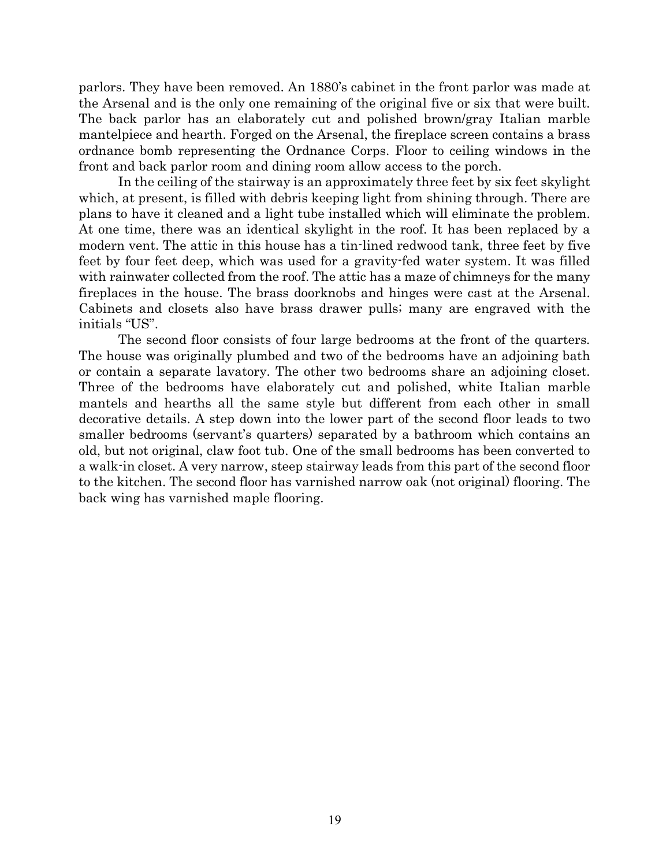parlors. They have been removed. An 1880's cabinet in the front parlor was made at the Arsenal and is the only one remaining of the original five or six that were built. The back parlor has an elaborately cut and polished brown/gray Italian marble mantelpiece and hearth. Forged on the Arsenal, the fireplace screen contains a brass ordnance bomb representing the Ordnance Corps. Floor to ceiling windows in the front and back parlor room and dining room allow access to the porch.

In the ceiling of the stairway is an approximately three feet by six feet skylight which, at present, is filled with debris keeping light from shining through. There are plans to have it cleaned and a light tube installed which will eliminate the problem. At one time, there was an identical skylight in the roof. It has been replaced by a modern vent. The attic in this house has a tin-lined redwood tank, three feet by five feet by four feet deep, which was used for a gravity-fed water system. It was filled with rainwater collected from the roof. The attic has a maze of chimneys for the many fireplaces in the house. The brass doorknobs and hinges were cast at the Arsenal. Cabinets and closets also have brass drawer pulls; many are engraved with the initials "US".

 The second floor consists of four large bedrooms at the front of the quarters. The house was originally plumbed and two of the bedrooms have an adjoining bath or contain a separate lavatory. The other two bedrooms share an adjoining closet. Three of the bedrooms have elaborately cut and polished, white Italian marble mantels and hearths all the same style but different from each other in small decorative details. A step down into the lower part of the second floor leads to two smaller bedrooms (servant's quarters) separated by a bathroom which contains an old, but not original, claw foot tub. One of the small bedrooms has been converted to a walk-in closet. A very narrow, steep stairway leads from this part of the second floor to the kitchen. The second floor has varnished narrow oak (not original) flooring. The back wing has varnished maple flooring.